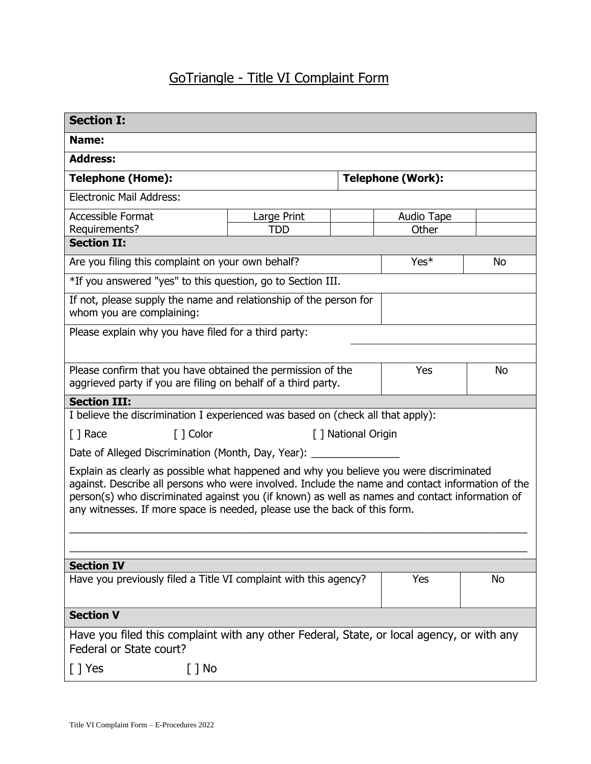## GoTriangle - Title VI Complaint Form

| <b>Section I:</b>                                                                                                                                                                                                                                                                                                                                                          |                     |     |                          |           |  |
|----------------------------------------------------------------------------------------------------------------------------------------------------------------------------------------------------------------------------------------------------------------------------------------------------------------------------------------------------------------------------|---------------------|-----|--------------------------|-----------|--|
| Name:                                                                                                                                                                                                                                                                                                                                                                      |                     |     |                          |           |  |
| <b>Address:</b>                                                                                                                                                                                                                                                                                                                                                            |                     |     |                          |           |  |
| <b>Telephone (Home):</b>                                                                                                                                                                                                                                                                                                                                                   |                     |     | <b>Telephone (Work):</b> |           |  |
| <b>Electronic Mail Address:</b>                                                                                                                                                                                                                                                                                                                                            |                     |     |                          |           |  |
| <b>Accessible Format</b>                                                                                                                                                                                                                                                                                                                                                   | Large Print         |     | Audio Tape               |           |  |
| Requirements?<br><b>Section II:</b>                                                                                                                                                                                                                                                                                                                                        | <b>TDD</b>          |     | Other                    |           |  |
| Are you filing this complaint on your own behalf?<br>Yes*<br>No                                                                                                                                                                                                                                                                                                            |                     |     |                          |           |  |
| *If you answered "yes" to this question, go to Section III.                                                                                                                                                                                                                                                                                                                |                     |     |                          |           |  |
|                                                                                                                                                                                                                                                                                                                                                                            |                     |     |                          |           |  |
| If not, please supply the name and relationship of the person for<br>whom you are complaining:                                                                                                                                                                                                                                                                             |                     |     |                          |           |  |
| Please explain why you have filed for a third party:                                                                                                                                                                                                                                                                                                                       |                     |     |                          |           |  |
|                                                                                                                                                                                                                                                                                                                                                                            |                     |     |                          |           |  |
| Please confirm that you have obtained the permission of the                                                                                                                                                                                                                                                                                                                |                     |     | <b>Yes</b>               | <b>No</b> |  |
| aggrieved party if you are filing on behalf of a third party.                                                                                                                                                                                                                                                                                                              |                     |     |                          |           |  |
| <b>Section III:</b>                                                                                                                                                                                                                                                                                                                                                        |                     |     |                          |           |  |
| I believe the discrimination I experienced was based on (check all that apply):                                                                                                                                                                                                                                                                                            |                     |     |                          |           |  |
| [ ] Race<br>[ ] Color                                                                                                                                                                                                                                                                                                                                                      | [ ] National Origin |     |                          |           |  |
| Date of Alleged Discrimination (Month, Day, Year): ___________                                                                                                                                                                                                                                                                                                             |                     |     |                          |           |  |
| Explain as clearly as possible what happened and why you believe you were discriminated<br>against. Describe all persons who were involved. Include the name and contact information of the<br>person(s) who discriminated against you (if known) as well as names and contact information of<br>any witnesses. If more space is needed, please use the back of this form. |                     |     |                          |           |  |
|                                                                                                                                                                                                                                                                                                                                                                            |                     |     |                          |           |  |
|                                                                                                                                                                                                                                                                                                                                                                            |                     |     |                          |           |  |
| <b>Section IV</b>                                                                                                                                                                                                                                                                                                                                                          |                     |     |                          |           |  |
| Have you previously filed a Title VI complaint with this agency?                                                                                                                                                                                                                                                                                                           |                     | Yes | No                       |           |  |
| <b>Section V</b>                                                                                                                                                                                                                                                                                                                                                           |                     |     |                          |           |  |
| Have you filed this complaint with any other Federal, State, or local agency, or with any<br>Federal or State court?                                                                                                                                                                                                                                                       |                     |     |                          |           |  |
| [ ] No<br>[ ] Yes                                                                                                                                                                                                                                                                                                                                                          |                     |     |                          |           |  |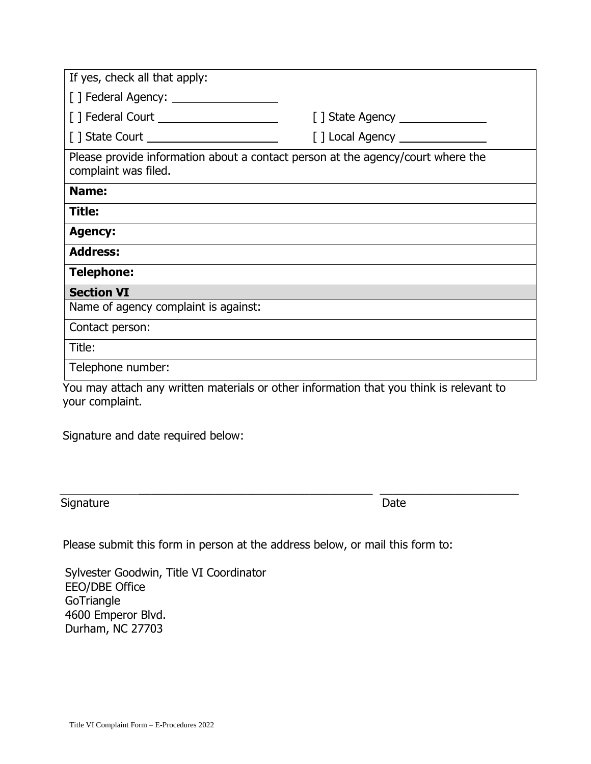| If yes, check all that apply:                                                                           |                                |  |  |
|---------------------------------------------------------------------------------------------------------|--------------------------------|--|--|
|                                                                                                         |                                |  |  |
| [] Federal Court _____________________                                                                  |                                |  |  |
|                                                                                                         | [] Local Agency ______________ |  |  |
| Please provide information about a contact person at the agency/court where the<br>complaint was filed. |                                |  |  |
| Name:                                                                                                   |                                |  |  |
| <b>Title:</b>                                                                                           |                                |  |  |
| <b>Agency:</b>                                                                                          |                                |  |  |
| <b>Address:</b>                                                                                         |                                |  |  |
| <b>Telephone:</b>                                                                                       |                                |  |  |
| <b>Section VI</b>                                                                                       |                                |  |  |
| Name of agency complaint is against:                                                                    |                                |  |  |
| Contact person:                                                                                         |                                |  |  |
| Title:                                                                                                  |                                |  |  |
| Telephone number:                                                                                       |                                |  |  |
| You may attach any written materials or other information that you think is relevant to                 |                                |  |  |

 You may attach any written materials or other information that you think is relevant to your complaint.

 $\frac{1}{2}$  ,  $\frac{1}{2}$  ,  $\frac{1}{2}$  ,  $\frac{1}{2}$  ,  $\frac{1}{2}$  ,  $\frac{1}{2}$  ,  $\frac{1}{2}$  ,  $\frac{1}{2}$  ,  $\frac{1}{2}$  ,  $\frac{1}{2}$  ,  $\frac{1}{2}$  ,  $\frac{1}{2}$  ,  $\frac{1}{2}$  ,  $\frac{1}{2}$  ,  $\frac{1}{2}$  ,  $\frac{1}{2}$  ,  $\frac{1}{2}$  ,  $\frac{1}{2}$  ,  $\frac{1$ 

Signature and date required below:

Signature Date Date Date

Please submit this form in person at the address below, or mail this form to:

Sylvester Goodwin, Title VI Coordinator EEO/DBE Office **GoTriangle** 4600 Emperor Blvd. Durham, NC 27703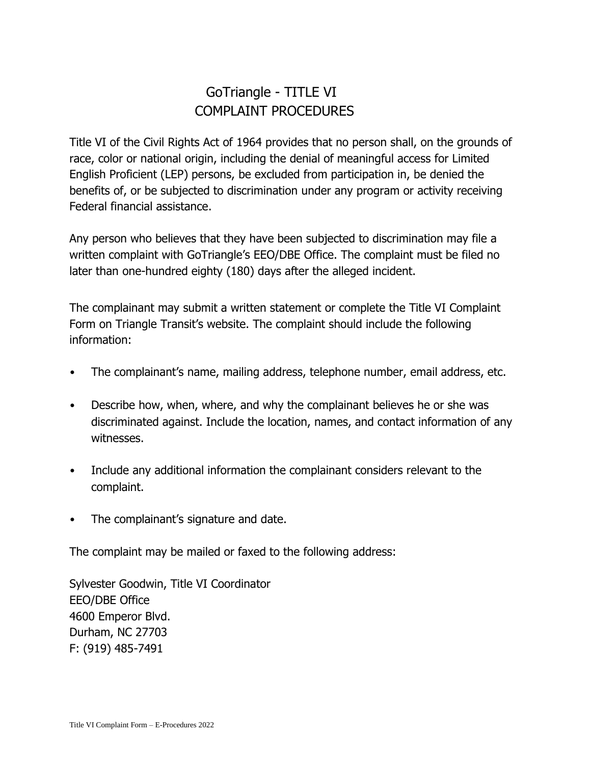## GoTriangle - TITLE VI COMPLAINT PROCEDURES

Title VI of the Civil Rights Act of 1964 provides that no person shall, on the grounds of race, color or national origin, including the denial of meaningful access for Limited English Proficient (LEP) persons, be excluded from participation in, be denied the benefits of, or be subjected to discrimination under any program or activity receiving Federal financial assistance.

Any person who believes that they have been subjected to discrimination may file a written complaint with GoTriangle's EEO/DBE Office. The complaint must be filed no later than one-hundred eighty (180) days after the alleged incident.

The complainant may submit a written statement or complete the Title VI Complaint Form on Triangle Transit's website. The complaint should include the following information:

- The complainant's name, mailing address, telephone number, email address, etc.
- Describe how, when, where, and why the complainant believes he or she was discriminated against. Include the location, names, and contact information of any witnesses.
- Include any additional information the complainant considers relevant to the complaint.
- The complainant's signature and date.

The complaint may be mailed or faxed to the following address:

Sylvester Goodwin, Title VI Coordinator EEO/DBE Office 4600 Emperor Blvd. Durham, NC 27703 F: (919) 485-7491